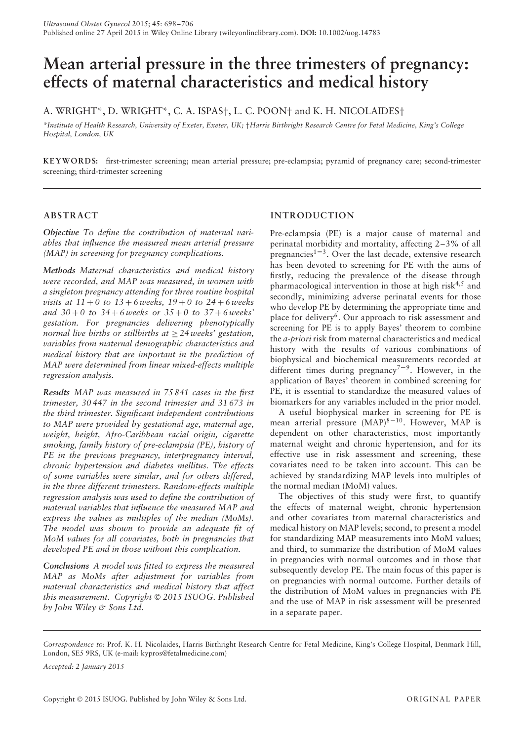# **Mean arterial pressure in the three trimesters of pregnancy: effects of maternal characteristics and medical history**

A. WRIGHT\*, D. WRIGHT\*, C. A. ISPAS†, L. C. POON† and K. H. NICOLAIDES†

*\*Institute of Health Research, University of Exeter, Exeter, UK;* †*Harris Birthright Research Centre for Fetal Medicine, King's College Hospital, London, UK*

**KEYWORD S:** first-trimester screening; mean arterial pressure; pre-eclampsia; pyramid of pregnancy care; second-trimester screening; third-trimester screening

## **ABSTRACT**

*Objective To define the contribution of maternal variables that influence the measured mean arterial pressure (MAP) in screening for pregnancy complications.*

*Methods Maternal characteristics and medical history were recorded, and MAP was measured, in women with a singleton pregnancy attending for three routine hospital visits at 11* + *0 to 13* + *6 weeks, 19* + *0 to 24* + *6 weeks and 30* + *0 to 34* + *6 weeks or 35* + *0 to 37* + *6 weeks' gestation. For pregnancies delivering phenotypically normal live births or stillbirths at*  $\geq$  24 *weeks'* gestation, *variables from maternal demographic characteristics and medical history that are important in the prediction of MAP were determined from linear mixed-effects multiple regression analysis.*

*Results MAP was measured in 75 841 cases in the first trimester, 30 447 in the second trimester and 31 673 in the third trimester. Significant independent contributions to MAP were provided by gestational age, maternal age, weight, height, Afro-Caribbean racial origin, cigarette smoking, family history of pre-eclampsia (PE), history of PE in the previous pregnancy, interpregnancy interval, chronic hypertension and diabetes mellitus. The effects of some variables were similar, and for others differed, in the three different trimesters. Random-effects multiple regression analysis was used to define the contribution of maternal variables that influence the measured MAP and express the values as multiples of the median (MoMs). The model was shown to provide an adequate fit of MoM values for all covariates, both in pregnancies that developed PE and in those without this complication.*

*Conclusions A model was fitted to express the measured MAP as MoMs after adjustment for variables from maternal characteristics and medical history that affect this measurement. Copyright* © *2015 ISUOG. Published by John Wiley & Sons Ltd.*

# **INTRODUCTION**

Pre-eclampsia (PE) is a major cause of maternal and perinatal morbidity and mortality, affecting 2–3% of all pregnancies<sup>1–3</sup>. Over the last decade, extensive research has been devoted to screening for PE with the aims of firstly, reducing the prevalence of the disease through pharmacological intervention in those at high risk<sup>4,5</sup> and secondly, minimizing adverse perinatal events for those who develop PE by determining the appropriate time and place for delivery<sup>6</sup>. Our approach to risk assessment and screening for PE is to apply Bayes' theorem to combine the *a-priori* risk from maternal characteristics and medical history with the results of various combinations of biophysical and biochemical measurements recorded at different times during pregnancy<sup> $7-9$ </sup>. However, in the application of Bayes' theorem in combined screening for PE, it is essential to standardize the measured values of biomarkers for any variables included in the prior model.

A useful biophysical marker in screening for PE is mean arterial pressure  $(MAP)^{8-10}$ . However, MAP is dependent on other characteristics, most importantly maternal weight and chronic hypertension, and for its effective use in risk assessment and screening, these covariates need to be taken into account. This can be achieved by standardizing MAP levels into multiples of the normal median (MoM) values.

The objectives of this study were first, to quantify the effects of maternal weight, chronic hypertension and other covariates from maternal characteristics and medical history on MAP levels; second, to present a model for standardizing MAP measurements into MoM values; and third, to summarize the distribution of MoM values in pregnancies with normal outcomes and in those that subsequently develop PE. The main focus of this paper is on pregnancies with normal outcome. Further details of the distribution of MoM values in pregnancies with PE and the use of MAP in risk assessment will be presented in a separate paper.

*Correspondence to*: Prof. K. H. Nicolaides, Harris Birthright Research Centre for Fetal Medicine, King's College Hospital, Denmark Hill, London, SE5 9RS, UK (e-mail: kypros@fetalmedicine.com)

*Accepted: 2 January 2015*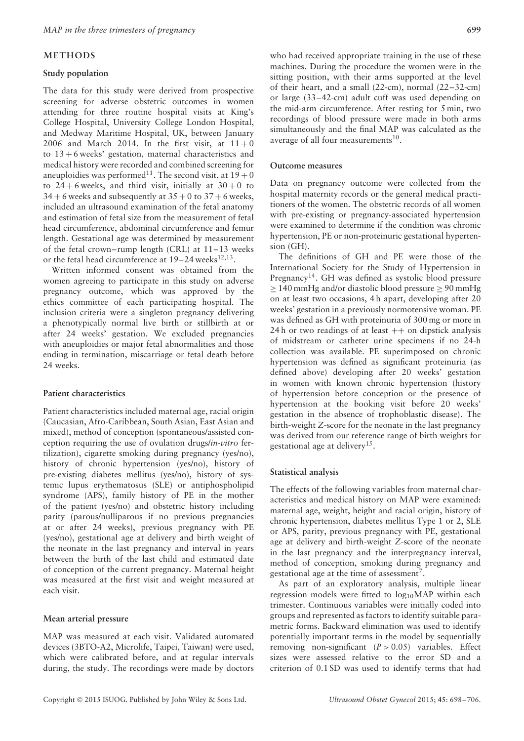## **METHODS**

#### **Study population**

The data for this study were derived from prospective screening for adverse obstetric outcomes in women attending for three routine hospital visits at King's College Hospital, University College London Hospital, and Medway Maritime Hospital, UK, between January 2006 and March 2014. In the first visit, at  $11+0$ to  $13 + 6$  weeks' gestation, maternal characteristics and medical history were recorded and combined screening for aneuploidies was performed<sup>11</sup>. The second visit, at  $19+0$ to  $24 + 6$  weeks, and third visit, initially at  $30 + 0$  to  $34 + 6$  weeks and subsequently at  $35 + 0$  to  $37 + 6$  weeks, included an ultrasound examination of the fetal anatomy and estimation of fetal size from the measurement of fetal head circumference, abdominal circumference and femur length. Gestational age was determined by measurement of the fetal crown–rump length (CRL) at 11–13 weeks or the fetal head circumference at  $19-24$  weeks<sup>12,13</sup>.

Written informed consent was obtained from the women agreeing to participate in this study on adverse pregnancy outcome, which was approved by the ethics committee of each participating hospital. The inclusion criteria were a singleton pregnancy delivering a phenotypically normal live birth or stillbirth at or after 24 weeks' gestation. We excluded pregnancies with aneuploidies or major fetal abnormalities and those ending in termination, miscarriage or fetal death before 24 weeks.

## **Patient characteristics**

Patient characteristics included maternal age, racial origin (Caucasian, Afro-Caribbean, South Asian, East Asian and mixed), method of conception (spontaneous/assisted conception requiring the use of ovulation drugs/*in-vitro* fertilization), cigarette smoking during pregnancy (yes/no), history of chronic hypertension (yes/no), history of pre-existing diabetes mellitus (yes/no), history of systemic lupus erythematosus (SLE) or antiphospholipid syndrome (APS), family history of PE in the mother of the patient (yes/no) and obstetric history including parity (parous/nulliparous if no previous pregnancies at or after 24 weeks), previous pregnancy with PE (yes/no), gestational age at delivery and birth weight of the neonate in the last pregnancy and interval in years between the birth of the last child and estimated date of conception of the current pregnancy. Maternal height was measured at the first visit and weight measured at each visit.

#### **Mean arterial pressure**

MAP was measured at each visit. Validated automated devices (3BTO-A2, Microlife, Taipei, Taiwan) were used, which were calibrated before, and at regular intervals during, the study. The recordings were made by doctors

who had received appropriate training in the use of these machines. During the procedure the women were in the sitting position, with their arms supported at the level of their heart, and a small (22-cm), normal (22–32-cm) or large (33–42-cm) adult cuff was used depending on the mid-arm circumference. After resting for 5 min, two recordings of blood pressure were made in both arms simultaneously and the final MAP was calculated as the average of all four measurements<sup>10</sup>.

#### **Outcome measures**

Data on pregnancy outcome were collected from the hospital maternity records or the general medical practitioners of the women. The obstetric records of all women with pre-existing or pregnancy-associated hypertension were examined to determine if the condition was chronic hypertension, PE or non-proteinuric gestational hypertension (GH).

The definitions of GH and PE were those of the International Society for the Study of Hypertension in Pregnancy<sup>14</sup>. GH was defined as systolic blood pressure ≥ 140 mmHg and/or diastolic blood pressure ≥ 90 mmHg on at least two occasions, 4 h apart, developing after 20 weeks' gestation in a previously normotensive woman. PE was defined as GH with proteinuria of 300 mg or more in 24 h or two readings of at least  $++$  on dipstick analysis of midstream or catheter urine specimens if no 24-h collection was available. PE superimposed on chronic hypertension was defined as significant proteinuria (as defined above) developing after 20 weeks' gestation in women with known chronic hypertension (history of hypertension before conception or the presence of hypertension at the booking visit before 20 weeks' gestation in the absence of trophoblastic disease). The birth-weight *Z*-score for the neonate in the last pregnancy was derived from our reference range of birth weights for gestational age at delivery<sup>15</sup>.

#### **Statistical analysis**

The effects of the following variables from maternal characteristics and medical history on MAP were examined: maternal age, weight, height and racial origin, history of chronic hypertension, diabetes mellitus Type 1 or 2, SLE or APS, parity, previous pregnancy with PE, gestational age at delivery and birth-weight *Z*-score of the neonate in the last pregnancy and the interpregnancy interval, method of conception, smoking during pregnancy and gestational age at the time of assessment7.

As part of an exploratory analysis, multiple linear regression models were fitted to  $log_{10}MAP$  within each trimester. Continuous variables were initially coded into groups and represented as factors to identify suitable parametric forms. Backward elimination was used to identify potentially important terms in the model by sequentially removing non-significant (*P >* 0.05) variables. Effect sizes were assessed relative to the error SD and a criterion of 0.1 SD was used to identify terms that had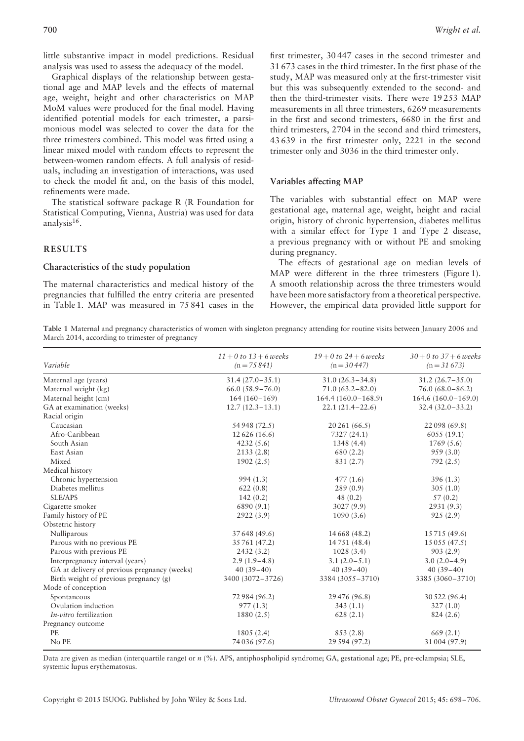little substantive impact in model predictions. Residual analysis was used to assess the adequacy of the model.

Graphical displays of the relationship between gestational age and MAP levels and the effects of maternal age, weight, height and other characteristics on MAP MoM values were produced for the final model. Having identified potential models for each trimester, a parsimonious model was selected to cover the data for the three trimesters combined. This model was fitted using a linear mixed model with random effects to represent the between-women random effects. A full analysis of residuals, including an investigation of interactions, was used to check the model fit and, on the basis of this model, refinements were made.

The statistical software package R (R Foundation for Statistical Computing, Vienna, Austria) was used for data analysis $16$ .

## **RESULTS**

## **Characteristics of the study population**

The maternal characteristics and medical history of the pregnancies that fulfilled the entry criteria are presented in Table 1. MAP was measured in 75 841 cases in the first trimester, 30 447 cases in the second trimester and 31 673 cases in the third trimester. In the first phase of the study, MAP was measured only at the first-trimester visit but this was subsequently extended to the second- and then the third-trimester visits. There were 19 253 MAP measurements in all three trimesters, 6269 measurements in the first and second trimesters, 6680 in the first and third trimesters, 2704 in the second and third trimesters, 43 639 in the first trimester only, 2221 in the second trimester only and 3036 in the third trimester only.

#### **Variables affecting MAP**

The variables with substantial effect on MAP were gestational age, maternal age, weight, height and racial origin, history of chronic hypertension, diabetes mellitus with a similar effect for Type 1 and Type 2 disease, a previous pregnancy with or without PE and smoking during pregnancy.

The effects of gestational age on median levels of MAP were different in the three trimesters (Figure 1). A smooth relationship across the three trimesters would have been more satisfactory from a theoretical perspective. However, the empirical data provided little support for

**Table 1** Maternal and pregnancy characteristics of women with singleton pregnancy attending for routine visits between January 2006 and March 2014, according to trimester of pregnancy

| Variable                                     | $11 + 0$ to $13 + 6$ weeks<br>$(n = 75841)$ | $19 + 0$ to $24 + 6$ weeks<br>$(n = 30447)$ | $30 + 0$ to $37 + 6$ weeks<br>$(n=31673)$ |  |
|----------------------------------------------|---------------------------------------------|---------------------------------------------|-------------------------------------------|--|
| Maternal age (years)                         | $31.4(27.0-35.1)$                           | $31.0(26.3 - 34.8)$                         | $31.2(26.7 - 35.0)$                       |  |
| Maternal weight (kg)                         | $66.0(58.9 - 76.0)$                         | $71.0(63.2 - 82.0)$                         | $76.0(68.0-86.2)$                         |  |
| Maternal height (cm)                         | $164(160-169)$                              | $164.4(160.0-168.9)$                        | $164.6(160.0-169.0)$                      |  |
| GA at examination (weeks)                    | $12.7(12.3-13.1)$                           | $22.1(21.4 - 22.6)$                         | $32.4(32.0-33.2)$                         |  |
| Racial origin                                |                                             |                                             |                                           |  |
| Caucasian                                    | 54 948 (72.5)                               | 20 261 (66.5)                               | 22 098 (69.8)                             |  |
| Afro-Caribbean                               | 12 626 (16.6)                               | 7327 (24.1)                                 | 6055(19.1)                                |  |
| South Asian                                  | 4232(5.6)                                   | 1348 (4.4)                                  | 1769(5.6)                                 |  |
| East Asian                                   | 2133(2.8)                                   | 680 (2.2)                                   | 959(3.0)                                  |  |
| Mixed                                        | 1902(2.5)                                   | 831 (2.7)                                   | 792(2.5)                                  |  |
| Medical history                              |                                             |                                             |                                           |  |
| Chronic hypertension                         | 994(1.3)                                    | 477(1.6)                                    | 396(1.3)                                  |  |
| Diabetes mellitus                            | 622(0.8)                                    | 289 (0.9)                                   | 305(1.0)                                  |  |
| SLE/APS                                      | 142(0.2)                                    | 48(0.2)                                     | 57(0.2)                                   |  |
| Cigarette smoker                             | 6890 (9.1)                                  | 3027(9.9)                                   | 2931 (9.3)                                |  |
| Family history of PE                         | 2922 (3.9)                                  | 1090(3.6)                                   | 925(2.9)                                  |  |
| Obstetric history                            |                                             |                                             |                                           |  |
| Nulliparous                                  | 37 648 (49.6)                               | 14 668 (48.2)                               | 15 715 (49.6)                             |  |
| Parous with no previous PE                   | 35 761 (47.2)                               | 14 751 (48.4)                               | 15 055 (47.5)                             |  |
| Parous with previous PE                      | 2432(3.2)                                   | 1028(3.4)                                   | 903(2.9)                                  |  |
| Interpregnancy interval (years)              | $2.9(1.9-4.8)$                              | $3.1(2.0-5.1)$                              | $3.0(2.0-4.9)$                            |  |
| GA at delivery of previous pregnancy (weeks) | $40(39-40)$                                 | $40(39-40)$                                 | $40(39-40)$                               |  |
| Birth weight of previous pregnancy (g)       | 3400 (3072-3726)                            | 3384 (3055-3710)                            | 3385 (3060-3710)                          |  |
| Mode of conception                           |                                             |                                             |                                           |  |
| Spontaneous                                  | 72 984 (96.2)                               | 29 476 (96.8)                               | 30 522 (96.4)                             |  |
| Ovulation induction                          | 977(1.3)                                    | 343(1.1)                                    | 327(1.0)                                  |  |
| <i>In-vitro</i> fertilization                | 1880 (2.5)                                  | 628(2.1)                                    | 824(2.6)                                  |  |
| Pregnancy outcome                            |                                             |                                             |                                           |  |
| <b>PE</b>                                    | 1805(2.4)                                   | 853(2.8)                                    | 669(2.1)                                  |  |
| No PE                                        | 74 036 (97.6)                               | 29 594 (97.2)                               | 31 004 (97.9)                             |  |

Data are given as median (interquartile range) or  $n$  (%). APS, antiphospholipid syndrome; GA, gestational age; PE, pre-eclampsia; SLE, systemic lupus erythematosus.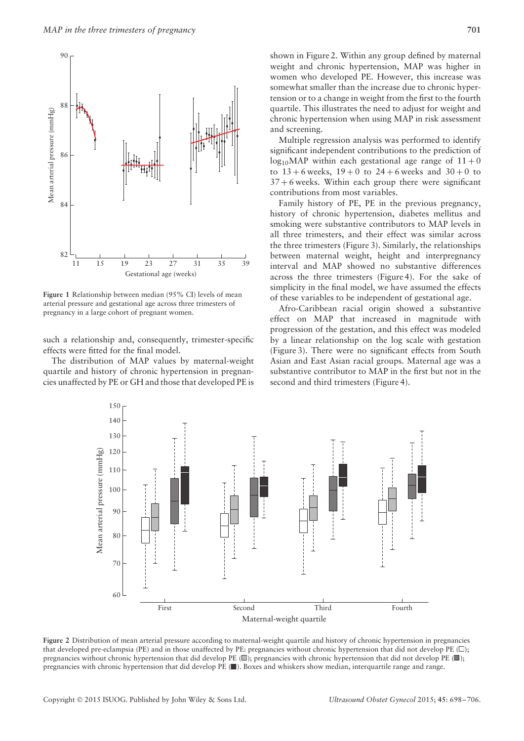

**Figure 1** Relationship between median (95% CI) levels of mean arterial pressure and gestational age across three trimesters of pregnancy in a large cohort of pregnant women.

such a relationship and, consequently, trimester-specific effects were fitted for the final model.

The distribution of MAP values by maternal-weight quartile and history of chronic hypertension in pregnancies unaffected by PE or GH and those that developed PE is

Multiple regression analysis was performed to identify significant independent contributions to the prediction of  $log_{10}$ MAP within each gestational age range of  $11+0$ to  $13 + 6$  weeks,  $19 + 0$  to  $24 + 6$  weeks and  $30 + 0$  to  $37 + 6$  weeks. Within each group there were significant contributions from most variables.

Family history of PE, PE in the previous pregnancy, history of chronic hypertension, diabetes mellitus and smoking were substantive contributors to MAP levels in all three trimesters, and their effect was similar across the three trimesters (Figure 3). Similarly, the relationships between maternal weight, height and interpregnancy interval and MAP showed no substantive differences across the three trimesters (Figure 4). For the sake of simplicity in the final model, we have assumed the effects of these variables to be independent of gestational age.

Afro-Caribbean racial origin showed a substantive effect on MAP that increased in magnitude with progression of the gestation, and this effect was modeled by a linear relationship on the log scale with gestation (Figure 3). There were no significant effects from South Asian and East Asian racial groups. Maternal age was a substantive contributor to MAP in the first but not in the second and third trimesters (Figure 4).



**Figure 2** Distribution of mean arterial pressure according to maternal-weight quartile and history of chronic hypertension in pregnancies that developed pre-eclampsia (PE) and in those unaffected by PE: pregnancies without chronic hypertension that did not develop PE  $(\square)$ ; pregnancies without chronic hypertension that did develop PE ( $\Box$ ); pregnancies with chronic hypertension that did not develop PE ( $\Box$ ); pregnancies with chronic hypertension that did develop PE ( ). Boxes and whiskers show median, interquartile range and range.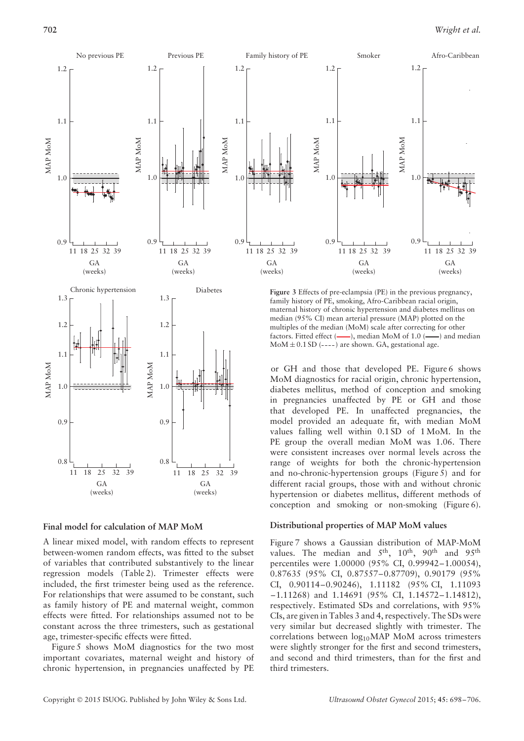



**Figure 3** Effects of pre-eclampsia (PE) in the previous pregnancy, family history of PE, smoking, Afro-Caribbean racial origin, maternal history of chronic hypertension and diabetes mellitus on median (95% CI) mean arterial pressure (MAP) plotted on the multiples of the median (MoM) scale after correcting for other factors. Fitted effect  $($ — $)$ , median MoM of 1.0  $($ — $)$  and median  $MoM \pm 0.1 SD$  (----) are shown. GA, gestational age.

or GH and those that developed PE. Figure 6 shows MoM diagnostics for racial origin, chronic hypertension, diabetes mellitus, method of conception and smoking in pregnancies unaffected by PE or GH and those that developed PE. In unaffected pregnancies, the model provided an adequate fit, with median MoM values falling well within 0.1 SD of 1 MoM. In the PE group the overall median MoM was 1.06. There were consistent increases over normal levels across the range of weights for both the chronic-hypertension and no-chronic-hypertension groups (Figure 5) and for different racial groups, those with and without chronic hypertension or diabetes mellitus, different methods of conception and smoking or non-smoking (Figure 6).

## **Final model for calculation of MAP MoM**

A linear mixed model, with random effects to represent between-women random effects, was fitted to the subset of variables that contributed substantively to the linear regression models (Table 2). Trimester effects were included, the first trimester being used as the reference. For relationships that were assumed to be constant, such as family history of PE and maternal weight, common effects were fitted. For relationships assumed not to be constant across the three trimesters, such as gestational age, trimester-specific effects were fitted.

Figure 5 shows MoM diagnostics for the two most important covariates, maternal weight and history of chronic hypertension, in pregnancies unaffected by PE

## **Distributional properties of MAP MoM values**

Figure 7 shows a Gaussian distribution of MAP-MoM values. The median and 5<sup>th</sup>, 10<sup>th</sup>, 90<sup>th</sup> and 95<sup>th</sup> percentiles were 1.00000 (95% CI, 0.99942–1.00054), 0.87635 (95% CI, 0.87557–0.87709), 0.90179 (95% CI, 0.90114–0.90246), 1.11182 (95% CI, 1.11093 –1.11268) and 1.14691 (95% CI, 1.14572–1.14812), respectively. Estimated SDs and correlations, with 95% CIs, are given in Tables 3 and 4, respectively. The SDs were very similar but decreased slightly with trimester. The correlations between  $log_{10}MAP$  MoM across trimesters were slightly stronger for the first and second trimesters, and second and third trimesters, than for the first and third trimesters.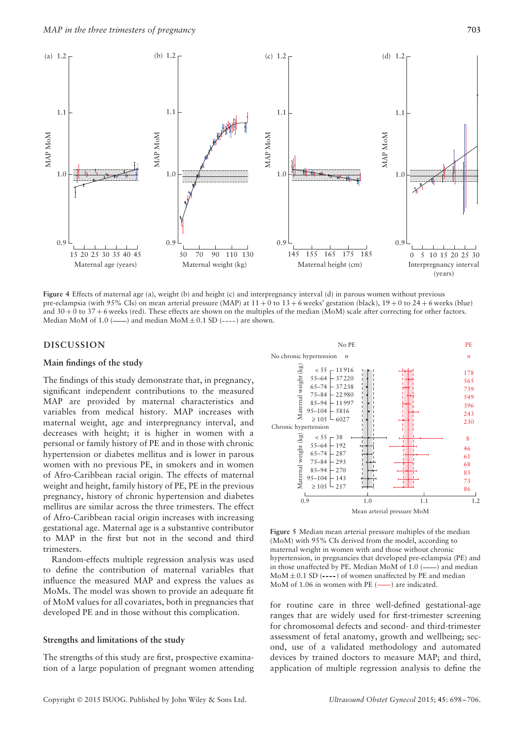

**Figure 4** Effects of maternal age (a), weight (b) and height (c) and interpregnancy interval (d) in parous women without previous pre-eclampsia (with 95% CIs) on mean arterial pressure (MAP) at 11 + 0 to 13 + 6 weeks' gestation (black), 19 + 0 to 24 + 6 weeks (blue) and  $30 + 0$  to  $37 + 6$  weeks (red). These effects are shown on the multiples of the median (MoM) scale after correcting for other factors. Median MoM of 1.0 ( $\longrightarrow$ ) and median MoM  $\pm$  0.1 SD (----) are shown.

## **DISCUSSION**

#### **Main findings of the study**

The findings of this study demonstrate that, in pregnancy, significant independent contributions to the measured MAP are provided by maternal characteristics and variables from medical history. MAP increases with maternal weight, age and interpregnancy interval, and decreases with height; it is higher in women with a personal or family history of PE and in those with chronic hypertension or diabetes mellitus and is lower in parous women with no previous PE, in smokers and in women of Afro-Caribbean racial origin. The effects of maternal weight and height, family history of PE, PE in the previous pregnancy, history of chronic hypertension and diabetes mellitus are similar across the three trimesters. The effect of Afro-Caribbean racial origin increases with increasing gestational age. Maternal age is a substantive contributor to MAP in the first but not in the second and third trimesters.

Random-effects multiple regression analysis was used to define the contribution of maternal variables that influence the measured MAP and express the values as MoMs. The model was shown to provide an adequate fit of MoM values for all covariates, both in pregnancies that developed PE and in those without this complication.

#### **Strengths and limitations of the study**

The strengths of this study are first, prospective examination of a large population of pregnant women attending



**Figure 5** Median mean arterial pressure multiples of the median (MoM) with 95% CIs derived from the model, according to maternal weight in women with and those without chronic hypertension, in pregnancies that developed pre-eclampsia (PE) and in those unaffected by PE. Median MoM of  $1.0$  ( $\longrightarrow$ ) and median  $M \Delta \Delta \pm 0.1$  SD (----) of women unaffected by PE and median MoM of 1.06 in women with PE  $($ — $)$  are indicated.

for routine care in three well-defined gestational-age ranges that are widely used for first-trimester screening for chromosomal defects and second- and third-trimester assessment of fetal anatomy, growth and wellbeing; second, use of a validated methodology and automated devices by trained doctors to measure MAP; and third, application of multiple regression analysis to define the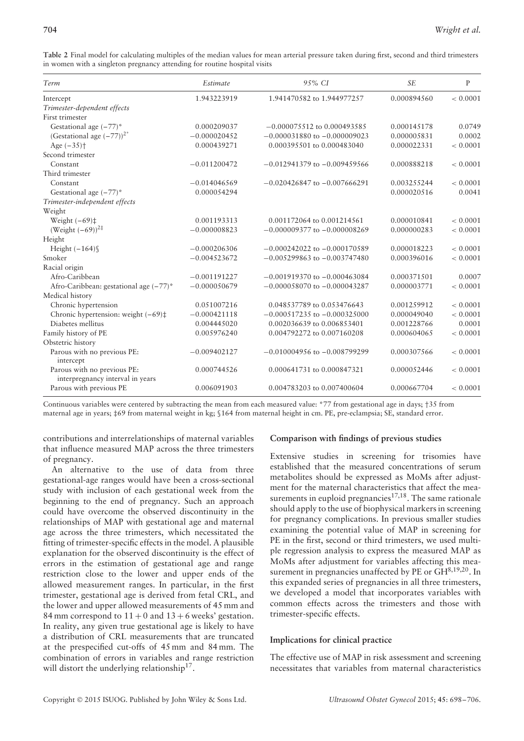| Term                                                            | Estimate       | 95% CI                           | <b>SE</b>   | P        |
|-----------------------------------------------------------------|----------------|----------------------------------|-------------|----------|
| Intercept                                                       | 1.943223919    | 1.941470582 to 1.944977257       | 0.000894560 | < 0.0001 |
| Trimester-dependent effects                                     |                |                                  |             |          |
| First trimester                                                 |                |                                  |             |          |
| Gestational age $(-77)^*$                                       | 0.000209037    | $-0.000075512$ to 0.000493585    | 0.000145178 | 0.0749   |
| (Gestational age $(-77)$ ) <sup>2*</sup>                        | $-0.000020452$ | $-0.000031880$ to $-0.000009023$ | 0.000005831 | 0.0002   |
| Age $(-35)$ <sup>+</sup>                                        | 0.000439271    | 0.000395501 to 0.000483040       | 0.000022331 | < 0.0001 |
| Second trimester                                                |                |                                  |             |          |
| Constant                                                        | $-0.011200472$ | $-0.012941379$ to $-0.009459566$ | 0.000888218 | < 0.0001 |
| Third trimester                                                 |                |                                  |             |          |
| Constant                                                        | $-0.014046569$ | $-0.020426847$ to $-0.007666291$ | 0.003255244 | < 0.0001 |
| Gestational age $(-77)^*$                                       | 0.000054294    |                                  | 0.000020516 | 0.0041   |
| Trimester-independent effects                                   |                |                                  |             |          |
| Weight                                                          |                |                                  |             |          |
| Weight $(-69)$ ‡                                                | 0.001193313    | 0.001172064 to 0.001214561       | 0.000010841 | < 0.0001 |
| (Weight $(-69)$ ) <sup>2‡</sup>                                 | $-0.000008823$ | $-0.000009377$ to $-0.000008269$ | 0.000000283 | < 0.0001 |
| Height                                                          |                |                                  |             |          |
| Height $(-164)$                                                 | $-0.000206306$ | $-0.000242022$ to $-0.000170589$ | 0.000018223 | < 0.0001 |
| Smoker                                                          | $-0.004523672$ | $-0.005299863$ to $-0.003747480$ | 0.000396016 | < 0.0001 |
| Racial origin                                                   |                |                                  |             |          |
| Afro-Caribbean                                                  | $-0.001191227$ | $-0.001919370$ to $-0.000463084$ | 0.000371501 | 0.0007   |
| Afro-Caribbean: gestational age (-77)*                          | $-0.000050679$ | $-0.000058070$ to $-0.000043287$ | 0.000003771 | < 0.0001 |
| Medical history                                                 |                |                                  |             |          |
| Chronic hypertension                                            | 0.051007216    | 0.048537789 to 0.053476643       | 0.001259912 | < 0.0001 |
| Chronic hypertension: weight $(-69)$ ‡                          | $-0.000421118$ | $-0.000517235$ to $-0.000325000$ | 0.000049040 | < 0.0001 |
| Diabetes mellitus                                               | 0.004445020    | 0.002036639 to 0.006853401       | 0.001228766 | 0.0001   |
| Family history of PE                                            | 0.005976240    | 0.004792272 to 0.007160208       | 0.000604065 | < 0.0001 |
| Obstetric history                                               |                |                                  |             |          |
| Parous with no previous PE:<br>intercept                        | $-0.009402127$ | $-0.010004956$ to $-0.008799299$ | 0.000307566 | < 0.0001 |
| Parous with no previous PE:<br>interpregnancy interval in years | 0.000744526    | 0.000641731 to 0.000847321       | 0.000052446 | < 0.0001 |
| Parous with previous PE                                         | 0.006091903    | 0.004783203 to 0.007400604       | 0.000667704 | < 0.0001 |

**Table 2** Final model for calculating multiples of the median values for mean arterial pressure taken during first, second and third trimesters in women with a singleton pregnancy attending for routine hospital visits

Continuous variables were centered by subtracting the mean from each measured value: \*77 from gestational age in days; †35 from maternal age in years; ‡69 from maternal weight in kg; §164 from maternal height in cm. PE, pre-eclampsia; SE, standard error.

contributions and interrelationships of maternal variables that influence measured MAP across the three trimesters of pregnancy.

An alternative to the use of data from three gestational-age ranges would have been a cross-sectional study with inclusion of each gestational week from the beginning to the end of pregnancy. Such an approach could have overcome the observed discontinuity in the relationships of MAP with gestational age and maternal age across the three trimesters, which necessitated the fitting of trimester-specific effects in the model. A plausible explanation for the observed discontinuity is the effect of errors in the estimation of gestational age and range restriction close to the lower and upper ends of the allowed measurement ranges. In particular, in the first trimester, gestational age is derived from fetal CRL, and the lower and upper allowed measurements of 45 mm and 84 mm correspond to  $11 + 0$  and  $13 + 6$  weeks' gestation. In reality, any given true gestational age is likely to have a distribution of CRL measurements that are truncated at the prespecified cut-offs of 45 mm and 84 mm. The combination of errors in variables and range restriction will distort the underlying relationship<sup>17</sup>.

# **Comparison with findings of previous studies**

Extensive studies in screening for trisomies have established that the measured concentrations of serum metabolites should be expressed as MoMs after adjustment for the maternal characteristics that affect the measurements in euploid pregnancies<sup>17,18</sup>. The same rationale should apply to the use of biophysical markers in screening for pregnancy complications. In previous smaller studies examining the potential value of MAP in screening for PE in the first, second or third trimesters, we used multiple regression analysis to express the measured MAP as MoMs after adjustment for variables affecting this measurement in pregnancies unaffected by PE or  $GH^{8,19,20}$ . In this expanded series of pregnancies in all three trimesters, we developed a model that incorporates variables with common effects across the trimesters and those with trimester-specific effects.

## **Implications for clinical practice**

The effective use of MAP in risk assessment and screening necessitates that variables from maternal characteristics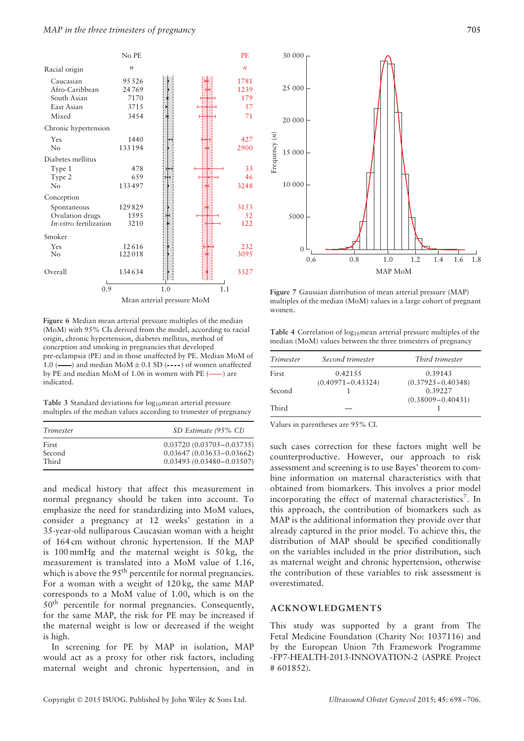

**Figure 6** Median mean arterial pressure multiples of the median (MoM) with 95% CIs derived from the model, according to racial origin, chronic hypertension, diabetes mellitus, method of conception and smoking in pregnancies that developed pre-eclampsia (PE) and in those unaffected by PE. Median MoM of 1.0 ( $\longrightarrow$ ) and median MoM $\pm$  0.1 SD (----) of women unaffected<br>by PE and median MoM of 1.06 in women with PE ( $\longrightarrow$ ) are by PE and median MoM of 1.06 in women with PE  $($ indicated.

Table 3 Standard deviations for log<sub>10</sub>mean arterial pressure multiples of the median values according to trimester of pregnancy

| Trimester | SD Estimate (95% CI)         |
|-----------|------------------------------|
| First     | $0.03720(0.03705 - 0.03735)$ |
| Second    | $0.03647(0.03633 - 0.03662)$ |
| Third     | $0.03493(0.03480 - 0.03507)$ |

and medical history that affect this measurement in normal pregnancy should be taken into account. To emphasize the need for standardizing into MoM values, consider a pregnancy at 12 weeks' gestation in a 35-year-old nulliparous Caucasian woman with a height of 164 cm without chronic hypertension. If the MAP is 100 mmHg and the maternal weight is 50 kg, the measurement is translated into a MoM value of 1.16, which is above the 95<sup>th</sup> percentile for normal pregnancies. For a woman with a weight of 120 kg, the same MAP corresponds to a MoM value of 1.00, which is on the 50th percentile for normal pregnancies. Consequently, for the same MAP, the risk for PE may be increased if the maternal weight is low or decreased if the weight is high.

In screening for PE by MAP in isolation, MAP would act as a proxy for other risk factors, including maternal weight and chronic hypertension, and in



**Figure 7** Gaussian distribution of mean arterial pressure (MAP) multiples of the median (MoM) values in a large cohort of pregnant women.

Table 4 Correlation of log<sub>10</sub>mean arterial pressure multiples of the median (MoM) values between the three trimesters of pregnancy

| Trimester | Second trimester      | Third trimester       |
|-----------|-----------------------|-----------------------|
| First     | 0.42155               | 0.39143               |
|           | $(0.40971 - 0.43324)$ | $(0.37925 - 0.40348)$ |
| Second    |                       | 0.39227               |
|           |                       | $(0.38009 - 0.40431)$ |
| Third     |                       |                       |

Values in parentheses are 95% CI.

such cases correction for these factors might well be counterproductive. However, our approach to risk assessment and screening is to use Bayes' theorem to combine information on maternal characteristics with that obtained from biomarkers. This involves a prior model incorporating the effect of maternal characteristics<sup>7</sup>. In this approach, the contribution of biomarkers such as MAP is the additional information they provide over that already captured in the prior model. To achieve this, the distribution of MAP should be specified conditionally on the variables included in the prior distribution, such as maternal weight and chronic hypertension, otherwise the contribution of these variables to risk assessment is overestimated.

### **ACKNOWLEDGMENTS**

This study was supported by a grant from The Fetal Medicine Foundation (Charity No: 1037116) and by the European Union 7th Framework Programme -FP7-HEALTH-2013-INNOVATION-2 (ASPRE Project # 601852).